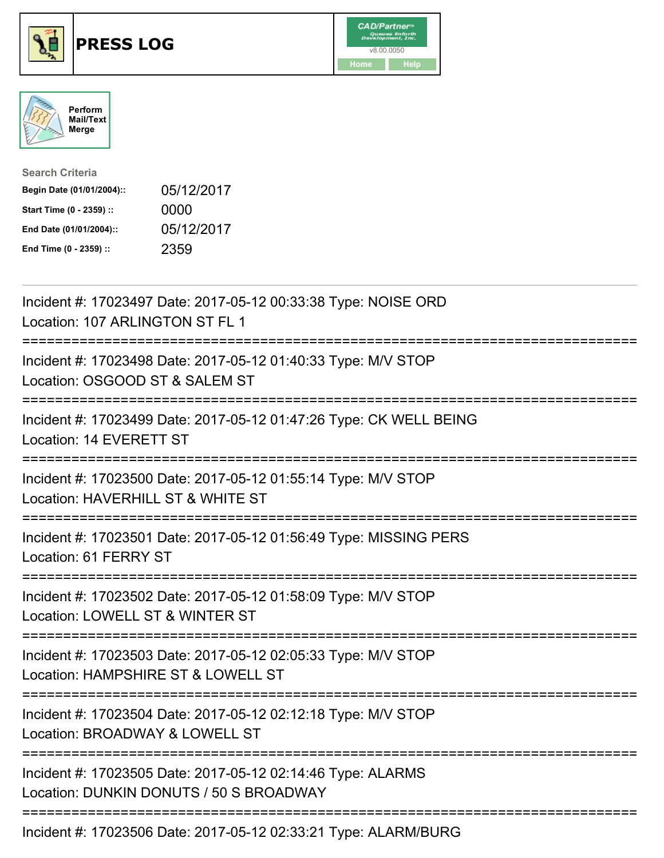





| <b>Search Criteria</b>    |            |
|---------------------------|------------|
| Begin Date (01/01/2004):: | 05/12/2017 |
| Start Time (0 - 2359) ::  | 0000       |
| End Date (01/01/2004)::   | 05/12/2017 |
| End Time (0 - 2359) ::    | 2359       |

| Incident #: 17023497 Date: 2017-05-12 00:33:38 Type: NOISE ORD<br>Location: 107 ARLINGTON ST FL 1                                               |
|-------------------------------------------------------------------------------------------------------------------------------------------------|
| Incident #: 17023498 Date: 2017-05-12 01:40:33 Type: M/V STOP<br>Location: OSGOOD ST & SALEM ST                                                 |
| Incident #: 17023499 Date: 2017-05-12 01:47:26 Type: CK WELL BEING<br>Location: 14 EVERETT ST                                                   |
| Incident #: 17023500 Date: 2017-05-12 01:55:14 Type: M/V STOP<br>Location: HAVERHILL ST & WHITE ST                                              |
| Incident #: 17023501 Date: 2017-05-12 01:56:49 Type: MISSING PERS<br>Location: 61 FERRY ST                                                      |
| Incident #: 17023502 Date: 2017-05-12 01:58:09 Type: M/V STOP<br>Location: LOWELL ST & WINTER ST<br>=============                               |
| Incident #: 17023503 Date: 2017-05-12 02:05:33 Type: M/V STOP<br>Location: HAMPSHIRE ST & LOWELL ST                                             |
| Incident #: 17023504 Date: 2017-05-12 02:12:18 Type: M/V STOP<br>Location: BROADWAY & LOWELL ST<br>===========================<br>============= |
| Incident #: 17023505 Date: 2017-05-12 02:14:46 Type: ALARMS<br>Location: DUNKIN DONUTS / 50 S BROADWAY                                          |
| Incident #: 17023506 Date: 2017-05-12 02:33:21 Type: ALARM/BURG                                                                                 |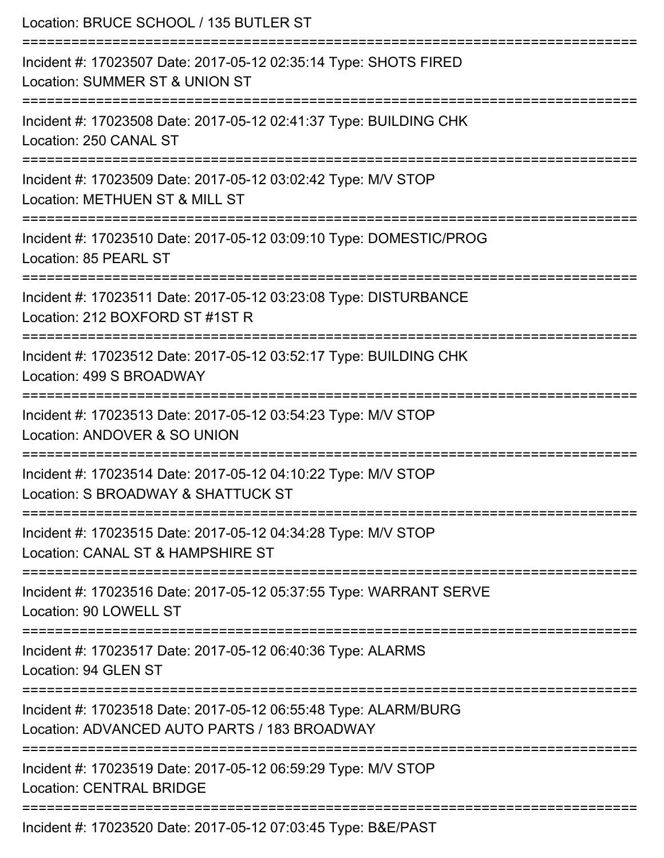| Location: BRUCE SCHOOL / 135 BUTLER ST                                                                          |
|-----------------------------------------------------------------------------------------------------------------|
| Incident #: 17023507 Date: 2017-05-12 02:35:14 Type: SHOTS FIRED<br>Location: SUMMER ST & UNION ST              |
| Incident #: 17023508 Date: 2017-05-12 02:41:37 Type: BUILDING CHK<br>Location: 250 CANAL ST                     |
| Incident #: 17023509 Date: 2017-05-12 03:02:42 Type: M/V STOP<br>Location: METHUEN ST & MILL ST                 |
| Incident #: 17023510 Date: 2017-05-12 03:09:10 Type: DOMESTIC/PROG<br>Location: 85 PEARL ST                     |
| Incident #: 17023511 Date: 2017-05-12 03:23:08 Type: DISTURBANCE<br>Location: 212 BOXFORD ST #1ST R             |
| Incident #: 17023512 Date: 2017-05-12 03:52:17 Type: BUILDING CHK<br>Location: 499 S BROADWAY                   |
| Incident #: 17023513 Date: 2017-05-12 03:54:23 Type: M/V STOP<br>Location: ANDOVER & SO UNION                   |
| Incident #: 17023514 Date: 2017-05-12 04:10:22 Type: M/V STOP<br>Location: S BROADWAY & SHATTUCK ST             |
| Incident #: 17023515 Date: 2017-05-12 04:34:28 Type: M/V STOP<br>Location: CANAL ST & HAMPSHIRE ST              |
| Incident #: 17023516 Date: 2017-05-12 05:37:55 Type: WARRANT SERVE<br>Location: 90 LOWELL ST                    |
| Incident #: 17023517 Date: 2017-05-12 06:40:36 Type: ALARMS<br>Location: 94 GLEN ST                             |
| Incident #: 17023518 Date: 2017-05-12 06:55:48 Type: ALARM/BURG<br>Location: ADVANCED AUTO PARTS / 183 BROADWAY |
| Incident #: 17023519 Date: 2017-05-12 06:59:29 Type: M/V STOP<br><b>Location: CENTRAL BRIDGE</b>                |
| Incident #: 17023520 Date: 2017-05-12 07:03:45 Type: B&E/PAST                                                   |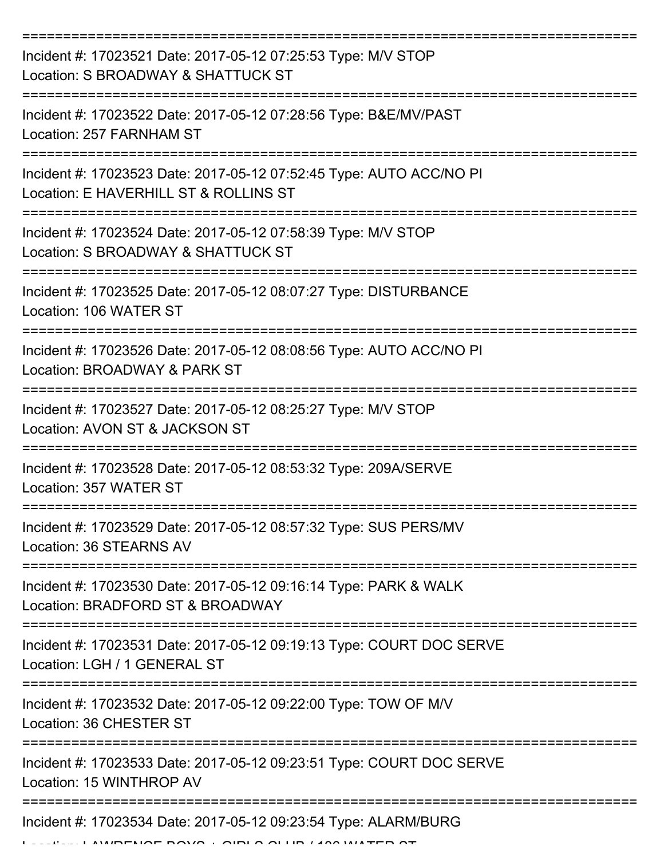| Incident #: 17023521 Date: 2017-05-12 07:25:53 Type: M/V STOP<br>Location: S BROADWAY & SHATTUCK ST          |
|--------------------------------------------------------------------------------------------------------------|
| Incident #: 17023522 Date: 2017-05-12 07:28:56 Type: B&E/MV/PAST<br>Location: 257 FARNHAM ST                 |
| Incident #: 17023523 Date: 2017-05-12 07:52:45 Type: AUTO ACC/NO PI<br>Location: E HAVERHILL ST & ROLLINS ST |
| Incident #: 17023524 Date: 2017-05-12 07:58:39 Type: M/V STOP<br>Location: S BROADWAY & SHATTUCK ST          |
| Incident #: 17023525 Date: 2017-05-12 08:07:27 Type: DISTURBANCE<br>Location: 106 WATER ST                   |
| Incident #: 17023526 Date: 2017-05-12 08:08:56 Type: AUTO ACC/NO PI<br>Location: BROADWAY & PARK ST          |
| Incident #: 17023527 Date: 2017-05-12 08:25:27 Type: M/V STOP<br>Location: AVON ST & JACKSON ST              |
| Incident #: 17023528 Date: 2017-05-12 08:53:32 Type: 209A/SERVE<br>Location: 357 WATER ST                    |
| Incident #: 17023529 Date: 2017-05-12 08:57:32 Type: SUS PERS/MV<br>Location: 36 STEARNS AV                  |
| Incident #: 17023530 Date: 2017-05-12 09:16:14 Type: PARK & WALK<br>Location: BRADFORD ST & BROADWAY         |
| Incident #: 17023531 Date: 2017-05-12 09:19:13 Type: COURT DOC SERVE<br>Location: LGH / 1 GENERAL ST         |
| Incident #: 17023532 Date: 2017-05-12 09:22:00 Type: TOW OF M/V<br>Location: 36 CHESTER ST                   |
| Incident #: 17023533 Date: 2017-05-12 09:23:51 Type: COURT DOC SERVE<br>Location: 15 WINTHROP AV             |
| Incident #: 17023534 Date: 2017-05-12 09:23:54 Type: ALARM/BURG                                              |

Location: LAWRENCE BOYS + GIRLS CLUB / 136 WATER ST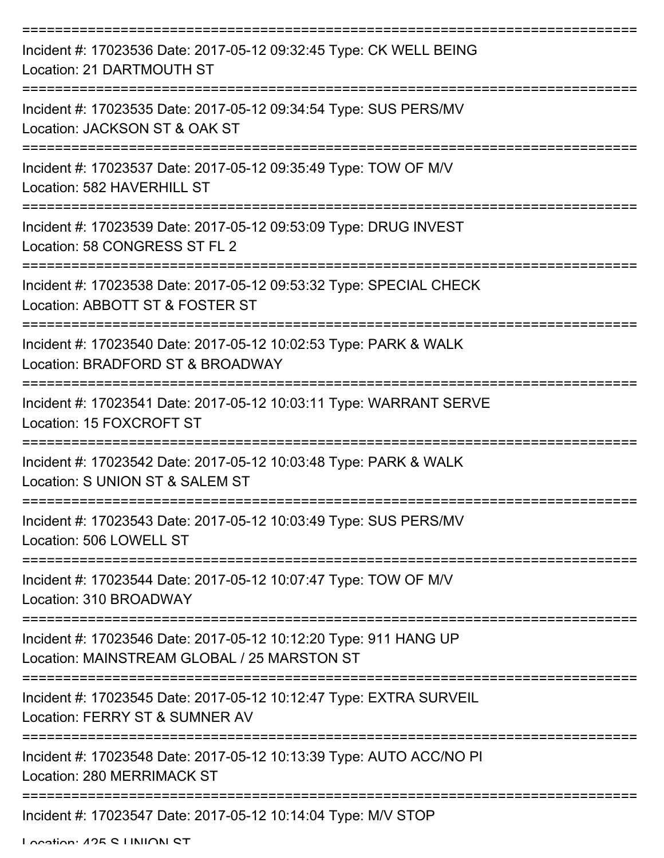| Incident #: 17023536 Date: 2017-05-12 09:32:45 Type: CK WELL BEING<br>Location: 21 DARTMOUTH ST                 |
|-----------------------------------------------------------------------------------------------------------------|
| Incident #: 17023535 Date: 2017-05-12 09:34:54 Type: SUS PERS/MV<br>Location: JACKSON ST & OAK ST               |
| Incident #: 17023537 Date: 2017-05-12 09:35:49 Type: TOW OF M/V<br>Location: 582 HAVERHILL ST                   |
| Incident #: 17023539 Date: 2017-05-12 09:53:09 Type: DRUG INVEST<br>Location: 58 CONGRESS ST FL 2               |
| Incident #: 17023538 Date: 2017-05-12 09:53:32 Type: SPECIAL CHECK<br>Location: ABBOTT ST & FOSTER ST           |
| Incident #: 17023540 Date: 2017-05-12 10:02:53 Type: PARK & WALK<br>Location: BRADFORD ST & BROADWAY            |
| Incident #: 17023541 Date: 2017-05-12 10:03:11 Type: WARRANT SERVE<br>Location: 15 FOXCROFT ST<br>============  |
| Incident #: 17023542 Date: 2017-05-12 10:03:48 Type: PARK & WALK<br>Location: S UNION ST & SALEM ST             |
| Incident #: 17023543 Date: 2017-05-12 10:03:49 Type: SUS PERS/MV<br>Location: 506 LOWELL ST                     |
| Incident #: 17023544 Date: 2017-05-12 10:07:47 Type: TOW OF M/V<br>Location: 310 BROADWAY                       |
| Incident #: 17023546 Date: 2017-05-12 10:12:20 Type: 911 HANG UP<br>Location: MAINSTREAM GLOBAL / 25 MARSTON ST |
| Incident #: 17023545 Date: 2017-05-12 10:12:47 Type: EXTRA SURVEIL<br>Location: FERRY ST & SUMNER AV            |
| Incident #: 17023548 Date: 2017-05-12 10:13:39 Type: AUTO ACC/NO PI<br>Location: 280 MERRIMACK ST               |
| Incident #: 17023547 Date: 2017-05-12 10:14:04 Type: M/V STOP                                                   |

Location: 425 C LINIION CT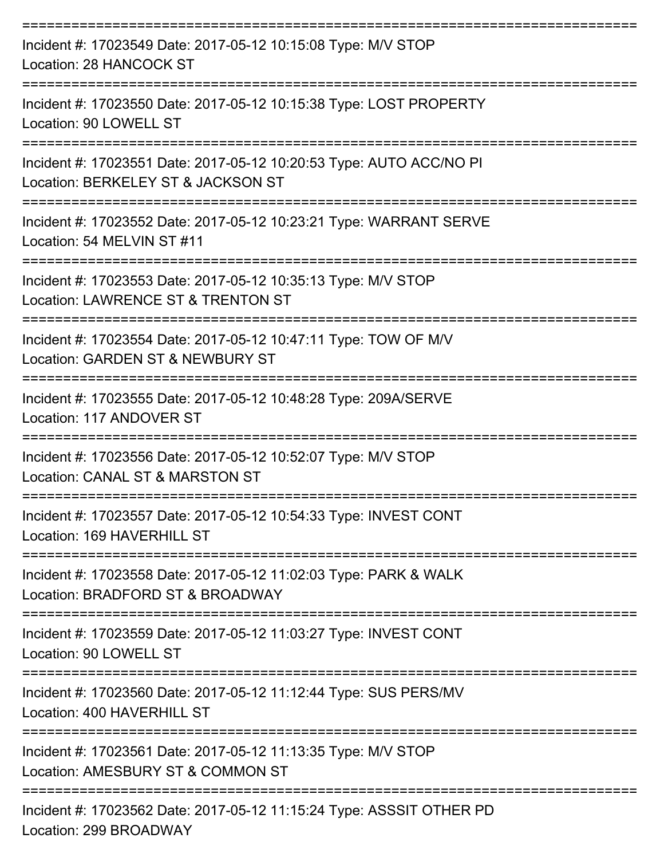| Incident #: 17023549 Date: 2017-05-12 10:15:08 Type: M/V STOP<br>Location: 28 HANCOCK ST                              |
|-----------------------------------------------------------------------------------------------------------------------|
| Incident #: 17023550 Date: 2017-05-12 10:15:38 Type: LOST PROPERTY<br>Location: 90 LOWELL ST                          |
| Incident #: 17023551 Date: 2017-05-12 10:20:53 Type: AUTO ACC/NO PI<br>Location: BERKELEY ST & JACKSON ST             |
| Incident #: 17023552 Date: 2017-05-12 10:23:21 Type: WARRANT SERVE<br>Location: 54 MELVIN ST #11<br>----------------- |
| Incident #: 17023553 Date: 2017-05-12 10:35:13 Type: M/V STOP<br>Location: LAWRENCE ST & TRENTON ST                   |
| Incident #: 17023554 Date: 2017-05-12 10:47:11 Type: TOW OF M/V<br>Location: GARDEN ST & NEWBURY ST                   |
| Incident #: 17023555 Date: 2017-05-12 10:48:28 Type: 209A/SERVE<br>Location: 117 ANDOVER ST                           |
| Incident #: 17023556 Date: 2017-05-12 10:52:07 Type: M/V STOP<br>Location: CANAL ST & MARSTON ST                      |
| Incident #: 17023557 Date: 2017-05-12 10:54:33 Type: INVEST CONT<br>Location: 169 HAVERHILL ST                        |
| Incident #: 17023558 Date: 2017-05-12 11:02:03 Type: PARK & WALK<br>Location: BRADFORD ST & BROADWAY                  |
| Incident #: 17023559 Date: 2017-05-12 11:03:27 Type: INVEST CONT<br>Location: 90 LOWELL ST                            |
| Incident #: 17023560 Date: 2017-05-12 11:12:44 Type: SUS PERS/MV<br>Location: 400 HAVERHILL ST                        |
| Incident #: 17023561 Date: 2017-05-12 11:13:35 Type: M/V STOP<br>Location: AMESBURY ST & COMMON ST                    |
| Incident #: 17023562 Date: 2017-05-12 11:15:24 Type: ASSSIT OTHER PD<br>Location: 299 BROADWAY                        |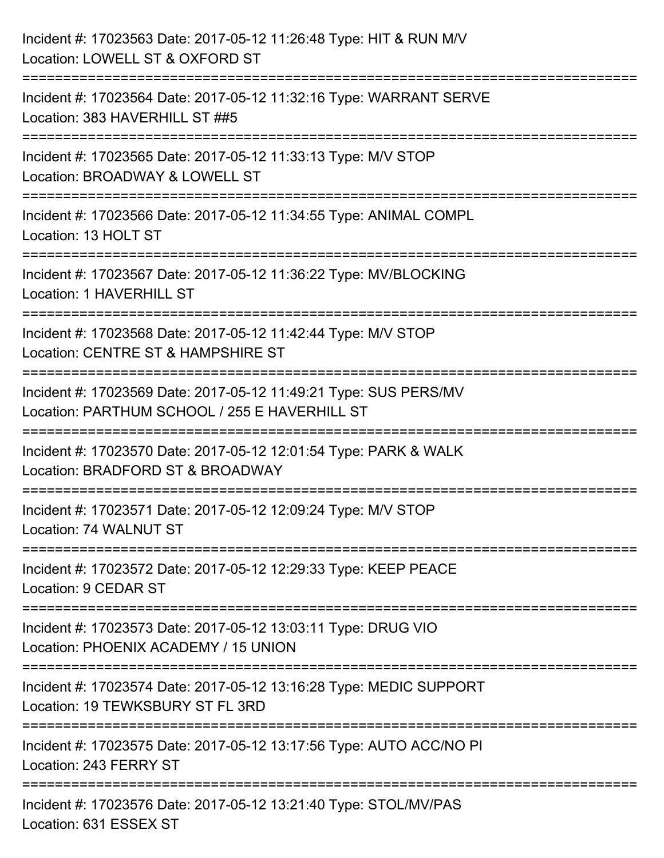| Incident #: 17023563 Date: 2017-05-12 11:26:48 Type: HIT & RUN M/V<br>Location: LOWELL ST & OXFORD ST                                   |
|-----------------------------------------------------------------------------------------------------------------------------------------|
| Incident #: 17023564 Date: 2017-05-12 11:32:16 Type: WARRANT SERVE<br>Location: 383 HAVERHILL ST ##5                                    |
| Incident #: 17023565 Date: 2017-05-12 11:33:13 Type: M/V STOP<br>Location: BROADWAY & LOWELL ST                                         |
| :===================================<br>Incident #: 17023566 Date: 2017-05-12 11:34:55 Type: ANIMAL COMPL<br>Location: 13 HOLT ST       |
| Incident #: 17023567 Date: 2017-05-12 11:36:22 Type: MV/BLOCKING<br>Location: 1 HAVERHILL ST                                            |
| :===============================<br>Incident #: 17023568 Date: 2017-05-12 11:42:44 Type: M/V STOP<br>Location: CENTRE ST & HAMPSHIRE ST |
| Incident #: 17023569 Date: 2017-05-12 11:49:21 Type: SUS PERS/MV<br>Location: PARTHUM SCHOOL / 255 E HAVERHILL ST                       |
| Incident #: 17023570 Date: 2017-05-12 12:01:54 Type: PARK & WALK<br>Location: BRADFORD ST & BROADWAY                                    |
| Incident #: 17023571 Date: 2017-05-12 12:09:24 Type: M/V STOP<br>Location: 74 WALNUT ST                                                 |
| Incident #: 17023572 Date: 2017-05-12 12:29:33 Type: KEEP PEACE<br>Location: 9 CEDAR ST                                                 |
| Incident #: 17023573 Date: 2017-05-12 13:03:11 Type: DRUG VIO<br>Location: PHOENIX ACADEMY / 15 UNION                                   |
| -------------------------<br>Incident #: 17023574 Date: 2017-05-12 13:16:28 Type: MEDIC SUPPORT<br>Location: 19 TEWKSBURY ST FL 3RD     |
| Incident #: 17023575 Date: 2017-05-12 13:17:56 Type: AUTO ACC/NO PI<br>Location: 243 FERRY ST                                           |
| Incident #: 17023576 Date: 2017-05-12 13:21:40 Type: STOL/MV/PAS<br>Location: 631 ESSEX ST                                              |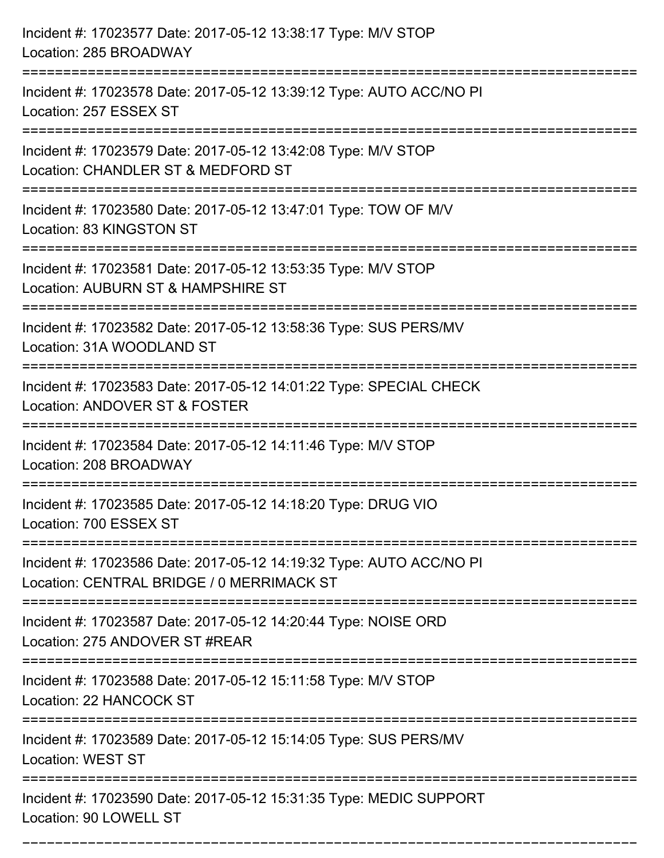| Incident #: 17023577 Date: 2017-05-12 13:38:17 Type: M/V STOP<br>Location: 285 BROADWAY                                                |
|----------------------------------------------------------------------------------------------------------------------------------------|
| ==========================<br>Incident #: 17023578 Date: 2017-05-12 13:39:12 Type: AUTO ACC/NO PI<br>Location: 257 ESSEX ST            |
| Incident #: 17023579 Date: 2017-05-12 13:42:08 Type: M/V STOP<br>Location: CHANDLER ST & MEDFORD ST<br>=============================== |
| Incident #: 17023580 Date: 2017-05-12 13:47:01 Type: TOW OF M/V<br>Location: 83 KINGSTON ST                                            |
| Incident #: 17023581 Date: 2017-05-12 13:53:35 Type: M/V STOP<br>Location: AUBURN ST & HAMPSHIRE ST                                    |
| Incident #: 17023582 Date: 2017-05-12 13:58:36 Type: SUS PERS/MV<br>Location: 31A WOODLAND ST                                          |
| Incident #: 17023583 Date: 2017-05-12 14:01:22 Type: SPECIAL CHECK<br>Location: ANDOVER ST & FOSTER                                    |
| Incident #: 17023584 Date: 2017-05-12 14:11:46 Type: M/V STOP<br>Location: 208 BROADWAY                                                |
| Incident #: 17023585 Date: 2017-05-12 14:18:20 Type: DRUG VIO<br>Location: 700 ESSEX ST                                                |
| Incident #: 17023586 Date: 2017-05-12 14:19:32 Type: AUTO ACC/NO PI<br>Location: CENTRAL BRIDGE / 0 MERRIMACK ST                       |
| Incident #: 17023587 Date: 2017-05-12 14:20:44 Type: NOISE ORD<br>Location: 275 ANDOVER ST #REAR                                       |
| Incident #: 17023588 Date: 2017-05-12 15:11:58 Type: M/V STOP<br>Location: 22 HANCOCK ST                                               |
| Incident #: 17023589 Date: 2017-05-12 15:14:05 Type: SUS PERS/MV<br><b>Location: WEST ST</b>                                           |
| Incident #: 17023590 Date: 2017-05-12 15:31:35 Type: MEDIC SUPPORT<br>Location: 90 LOWELL ST                                           |

===========================================================================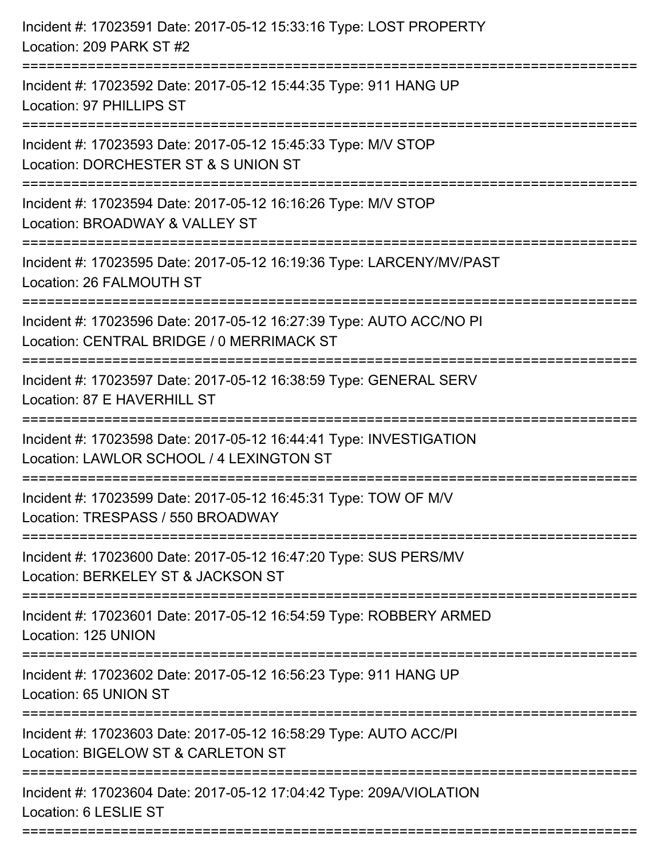| Incident #: 17023591 Date: 2017-05-12 15:33:16 Type: LOST PROPERTY<br>Location: 209 PARK ST #2                                                                     |
|--------------------------------------------------------------------------------------------------------------------------------------------------------------------|
| =================================<br>Incident #: 17023592 Date: 2017-05-12 15:44:35 Type: 911 HANG UP<br>Location: 97 PHILLIPS ST<br>---------------               |
| Incident #: 17023593 Date: 2017-05-12 15:45:33 Type: M/V STOP<br>Location: DORCHESTER ST & S UNION ST                                                              |
| Incident #: 17023594 Date: 2017-05-12 16:16:26 Type: M/V STOP<br>Location: BROADWAY & VALLEY ST<br>:========================                                       |
| Incident #: 17023595 Date: 2017-05-12 16:19:36 Type: LARCENY/MV/PAST<br>Location: 26 FALMOUTH ST                                                                   |
| Incident #: 17023596 Date: 2017-05-12 16:27:39 Type: AUTO ACC/NO PI<br>Location: CENTRAL BRIDGE / 0 MERRIMACK ST                                                   |
| .========================<br>---------------------------------<br>Incident #: 17023597 Date: 2017-05-12 16:38:59 Type: GENERAL SERV<br>Location: 87 E HAVERHILL ST |
| Incident #: 17023598 Date: 2017-05-12 16:44:41 Type: INVESTIGATION<br>Location: LAWLOR SCHOOL / 4 LEXINGTON ST                                                     |
| Incident #: 17023599 Date: 2017-05-12 16:45:31 Type: TOW OF M/V<br>Location: TRESPASS / 550 BROADWAY                                                               |
| Incident #: 17023600 Date: 2017-05-12 16:47:20 Type: SUS PERS/MV<br>Location: BERKELEY ST & JACKSON ST                                                             |
| Incident #: 17023601 Date: 2017-05-12 16:54:59 Type: ROBBERY ARMED<br>Location: 125 UNION                                                                          |
| Incident #: 17023602 Date: 2017-05-12 16:56:23 Type: 911 HANG UP<br>Location: 65 UNION ST                                                                          |
| Incident #: 17023603 Date: 2017-05-12 16:58:29 Type: AUTO ACC/PI<br>Location: BIGELOW ST & CARLETON ST                                                             |
| Incident #: 17023604 Date: 2017-05-12 17:04:42 Type: 209A/VIOLATION<br>Location: 6 LESLIE ST                                                                       |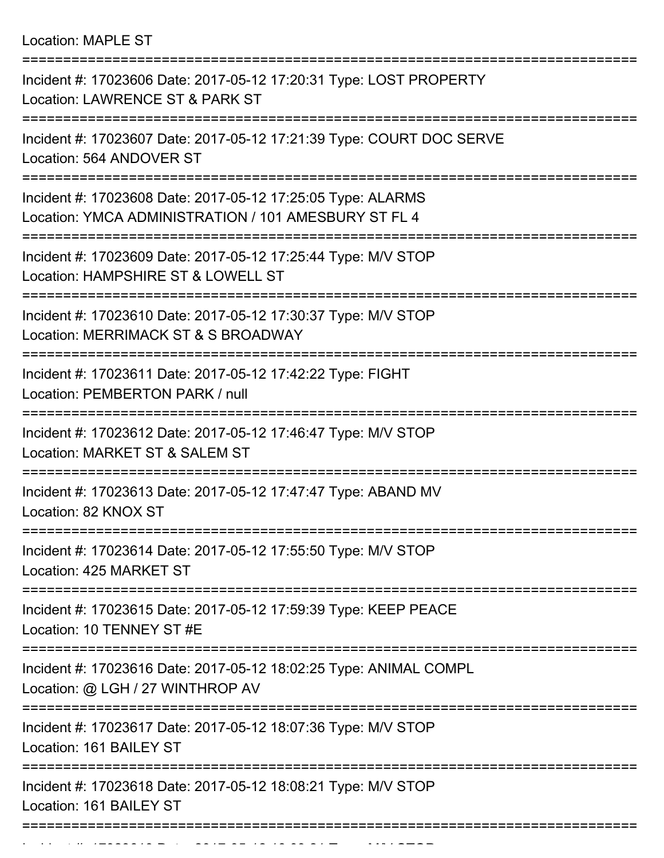Location: MAPLE ST

| Incident #: 17023606 Date: 2017-05-12 17:20:31 Type: LOST PROPERTY<br>Location: LAWRENCE ST & PARK ST               |
|---------------------------------------------------------------------------------------------------------------------|
| Incident #: 17023607 Date: 2017-05-12 17:21:39 Type: COURT DOC SERVE<br>Location: 564 ANDOVER ST                    |
| Incident #: 17023608 Date: 2017-05-12 17:25:05 Type: ALARMS<br>Location: YMCA ADMINISTRATION / 101 AMESBURY ST FL 4 |
| Incident #: 17023609 Date: 2017-05-12 17:25:44 Type: M/V STOP<br>Location: HAMPSHIRE ST & LOWELL ST                 |
| Incident #: 17023610 Date: 2017-05-12 17:30:37 Type: M/V STOP<br>Location: MERRIMACK ST & S BROADWAY                |
| Incident #: 17023611 Date: 2017-05-12 17:42:22 Type: FIGHT<br>Location: PEMBERTON PARK / null                       |
| Incident #: 17023612 Date: 2017-05-12 17:46:47 Type: M/V STOP<br>Location: MARKET ST & SALEM ST                     |
| Incident #: 17023613 Date: 2017-05-12 17:47:47 Type: ABAND MV<br>Location: 82 KNOX ST                               |
| Incident #: 17023614 Date: 2017-05-12 17:55:50 Type: M/V STOP<br>Location: 425 MARKET ST                            |
| Incident #: 17023615 Date: 2017-05-12 17:59:39 Type: KEEP PEACE<br>Location: 10 TENNEY ST #E                        |
| Incident #: 17023616 Date: 2017-05-12 18:02:25 Type: ANIMAL COMPL<br>Location: @ LGH / 27 WINTHROP AV               |
| Incident #: 17023617 Date: 2017-05-12 18:07:36 Type: M/V STOP<br>Location: 161 BAILEY ST                            |
| Incident #: 17023618 Date: 2017-05-12 18:08:21 Type: M/V STOP<br>Location: 161 BAILEY ST                            |
|                                                                                                                     |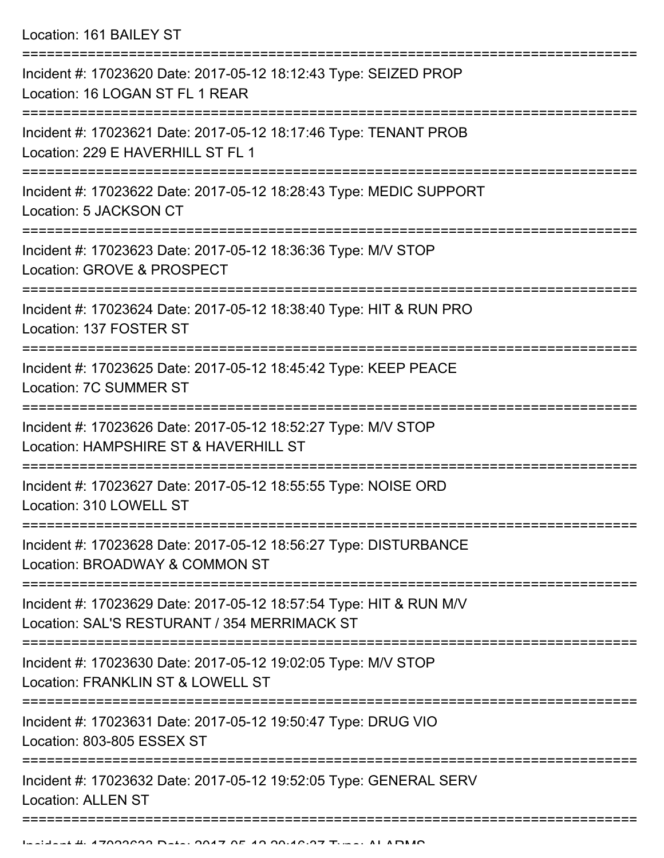Location: 161 BAILEY ST

| Incident #: 17023620 Date: 2017-05-12 18:12:43 Type: SEIZED PROP<br>Location: 16 LOGAN ST FL 1 REAR                |
|--------------------------------------------------------------------------------------------------------------------|
| Incident #: 17023621 Date: 2017-05-12 18:17:46 Type: TENANT PROB<br>Location: 229 E HAVERHILL ST FL 1              |
| Incident #: 17023622 Date: 2017-05-12 18:28:43 Type: MEDIC SUPPORT<br>Location: 5 JACKSON CT                       |
| Incident #: 17023623 Date: 2017-05-12 18:36:36 Type: M/V STOP<br>Location: GROVE & PROSPECT                        |
| Incident #: 17023624 Date: 2017-05-12 18:38:40 Type: HIT & RUN PRO<br>Location: 137 FOSTER ST                      |
| Incident #: 17023625 Date: 2017-05-12 18:45:42 Type: KEEP PEACE<br>Location: 7C SUMMER ST                          |
| Incident #: 17023626 Date: 2017-05-12 18:52:27 Type: M/V STOP<br>Location: HAMPSHIRE ST & HAVERHILL ST             |
| Incident #: 17023627 Date: 2017-05-12 18:55:55 Type: NOISE ORD<br>Location: 310 LOWELL ST                          |
| Incident #: 17023628 Date: 2017-05-12 18:56:27 Type: DISTURBANCE<br>Location: BROADWAY & COMMON ST                 |
| Incident #: 17023629 Date: 2017-05-12 18:57:54 Type: HIT & RUN M/V<br>Location: SAL'S RESTURANT / 354 MERRIMACK ST |
| Incident #: 17023630 Date: 2017-05-12 19:02:05 Type: M/V STOP<br>Location: FRANKLIN ST & LOWELL ST                 |
| Incident #: 17023631 Date: 2017-05-12 19:50:47 Type: DRUG VIO<br>Location: 803-805 ESSEX ST                        |
| Incident #: 17023632 Date: 2017-05-12 19:52:05 Type: GENERAL SERV<br><b>Location: ALLEN ST</b>                     |
|                                                                                                                    |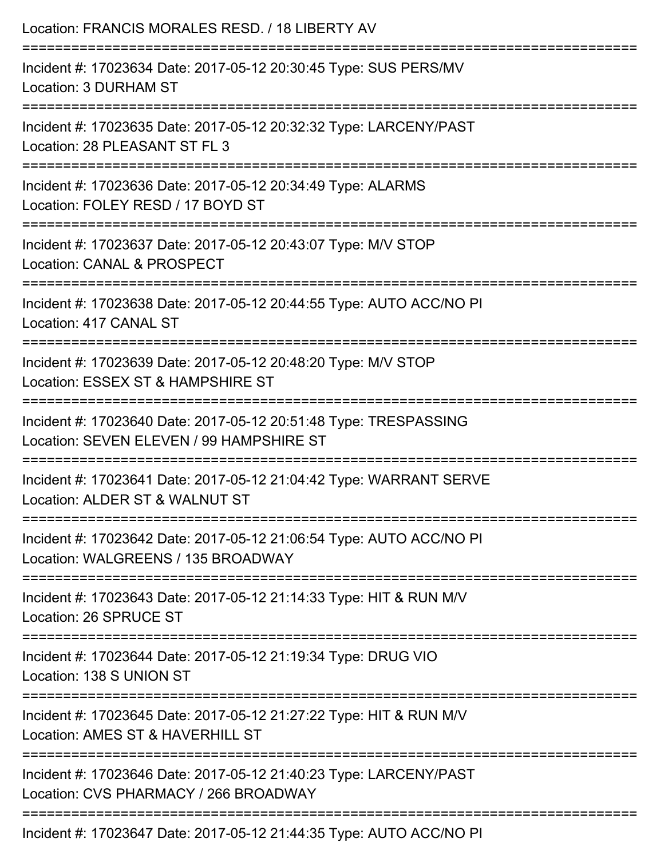| Location: FRANCIS MORALES RESD. / 18 LIBERTY AV                                                                                        |
|----------------------------------------------------------------------------------------------------------------------------------------|
| Incident #: 17023634 Date: 2017-05-12 20:30:45 Type: SUS PERS/MV<br>Location: 3 DURHAM ST<br>================================          |
| Incident #: 17023635 Date: 2017-05-12 20:32:32 Type: LARCENY/PAST<br>Location: 28 PLEASANT ST FL 3                                     |
| Incident #: 17023636 Date: 2017-05-12 20:34:49 Type: ALARMS<br>Location: FOLEY RESD / 17 BOYD ST                                       |
| Incident #: 17023637 Date: 2017-05-12 20:43:07 Type: M/V STOP<br>Location: CANAL & PROSPECT                                            |
| Incident #: 17023638 Date: 2017-05-12 20:44:55 Type: AUTO ACC/NO PI<br>Location: 417 CANAL ST                                          |
| :======================<br>Incident #: 17023639 Date: 2017-05-12 20:48:20 Type: M/V STOP<br>Location: ESSEX ST & HAMPSHIRE ST          |
| :=====================<br>Incident #: 17023640 Date: 2017-05-12 20:51:48 Type: TRESPASSING<br>Location: SEVEN ELEVEN / 99 HAMPSHIRE ST |
| Incident #: 17023641 Date: 2017-05-12 21:04:42 Type: WARRANT SERVE<br>Location: ALDER ST & WALNUT ST                                   |
| Incident #: 17023642 Date: 2017-05-12 21:06:54 Type: AUTO ACC/NO PI<br>Location: WALGREENS / 135 BROADWAY                              |
| Incident #: 17023643 Date: 2017-05-12 21:14:33 Type: HIT & RUN M/V<br>Location: 26 SPRUCE ST                                           |
| Incident #: 17023644 Date: 2017-05-12 21:19:34 Type: DRUG VIO<br>Location: 138 S UNION ST                                              |
| Incident #: 17023645 Date: 2017-05-12 21:27:22 Type: HIT & RUN M/V<br>Location: AMES ST & HAVERHILL ST                                 |
| Incident #: 17023646 Date: 2017-05-12 21:40:23 Type: LARCENY/PAST<br>Location: CVS PHARMACY / 266 BROADWAY                             |
| Incident #: 17023647 Date: 2017-05-12 21:44:35 Type: ALITO ACC/NO PL                                                                   |

Incident #: 17023647 Date: 2017-05-12 21:44:35 Type: AUTO ACC/NO PI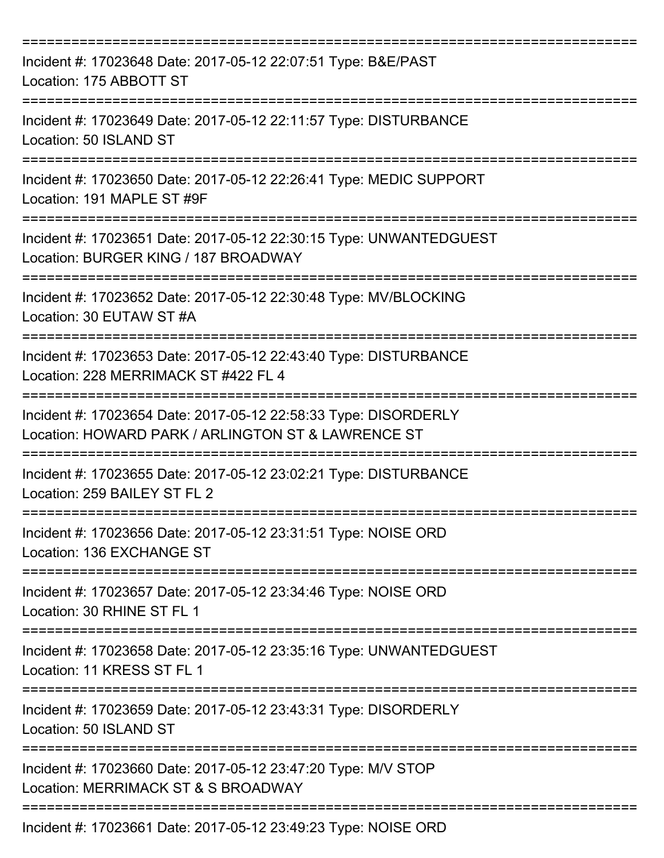| Incident #: 17023648 Date: 2017-05-12 22:07:51 Type: B&E/PAST<br>Location: 175 ABBOTT ST                                               |
|----------------------------------------------------------------------------------------------------------------------------------------|
| Incident #: 17023649 Date: 2017-05-12 22:11:57 Type: DISTURBANCE<br>Location: 50 ISLAND ST                                             |
| Incident #: 17023650 Date: 2017-05-12 22:26:41 Type: MEDIC SUPPORT<br>Location: 191 MAPLE ST #9F                                       |
| Incident #: 17023651 Date: 2017-05-12 22:30:15 Type: UNWANTEDGUEST<br>Location: BURGER KING / 187 BROADWAY                             |
| Incident #: 17023652 Date: 2017-05-12 22:30:48 Type: MV/BLOCKING<br>Location: 30 EUTAW ST #A                                           |
| Incident #: 17023653 Date: 2017-05-12 22:43:40 Type: DISTURBANCE<br>Location: 228 MERRIMACK ST #422 FL 4                               |
| Incident #: 17023654 Date: 2017-05-12 22:58:33 Type: DISORDERLY<br>Location: HOWARD PARK / ARLINGTON ST & LAWRENCE ST                  |
| Incident #: 17023655 Date: 2017-05-12 23:02:21 Type: DISTURBANCE<br>Location: 259 BAILEY ST FL 2                                       |
| Incident #: 17023656 Date: 2017-05-12 23:31:51 Type: NOISE ORD<br>Location: 136 EXCHANGE ST                                            |
| Incident #: 17023657 Date: 2017-05-12 23:34:46 Type: NOISE ORD<br>Location: 30 RHINE ST FL 1                                           |
| Incident #: 17023658 Date: 2017-05-12 23:35:16 Type: UNWANTEDGUEST<br>Location: 11 KRESS ST FL 1<br>================================== |
| Incident #: 17023659 Date: 2017-05-12 23:43:31 Type: DISORDERLY<br>Location: 50 ISLAND ST                                              |
| Incident #: 17023660 Date: 2017-05-12 23:47:20 Type: M/V STOP<br>Location: MERRIMACK ST & S BROADWAY                                   |
| Incident #: 17023661 Date: 2017-05-12 23:49:23 Type: NOISE ORD                                                                         |